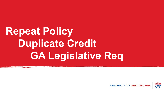# **Repeat Policy Duplicate Credit GA Legislative Req**

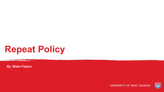## **Repeat Policy**

**By: Blake Payton**

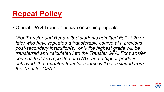### **Repeat Policy**

• Official UWG Transfer policy concerning repeats:

"*For Transfer and Readmitted students admitted Fall 2020 or later who have repeated a transferable course at a previous post-secondary institution(s), only the highest grade will be transferred and calculated into the Transfer GPA. For transfer courses that are repeated at UWG, and a higher grade is achieved, the repeated transfer course will be excluded from the Transfer GPA*."

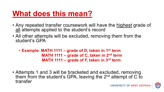### **What does this mean?**

- Any repeated transfer coursework will have the highest grade of all attempts applied to the student's record
- All other attempts will be excluded, removing them from the student's GPA
	- **Example: MATH 1111 – grade of D, taken in 1st term MATH 1111 – grade of C, taken in 2nd term MATH 1111 – grade of F, taken in 3rd term**
- Attempts 1 and 3 will be bracketed and excluded, removing them from the student's GPA, leaving the  $2^{nd}$  attempt of C to transfer

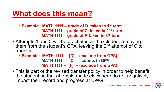### **What does this mean?**

- **Example: MATH 1111 – grade of D, taken in 1st term MATH 1111 – grade of C, taken in 2nd term MATH 1111 – grade of F, taken in 3rd term**
- Attempts 1 and 3 will be bracketed and excluded, removing them from the student's GPA, leaving the  $2^{nd}$  attempt of C to transfer:
	- **Example: MATH 1111 – [D] – (exclude from GPA) MATH 1111 – C – counts in GPA MATH 1111 – [F] – (exclude from GPA)**
- This is part of the revised transfer policy in order to help benefit the student so that attempts made elsewhere do not negatively impact their record and progress at UWG

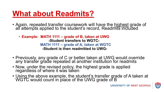### **What about Readmits?**

• Again, repeated transfer coursework will have the highest grade of all attempts applied to the student's record, Readmits included

• **Example: MATH 1111 – grade of B, taken at UWG -Student transfers to WGTC-MATH 1111 – grade of A, taken at WGTC -Student is then readmitted to UWG-**

- Previously, any grade of C or better taken at UWG would override any transfér gŕade repeated at another institution for readmits
- Now, under the revised policy, the highest grade is applied regardless of where it was taken
- Using the above example, the student's transfer grade of A taken at WGTC would count in place of the UWG grade of B

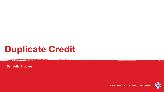## **Duplicate Credit**

**By: Julie Brooker**

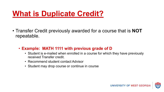### **What is Duplicate Credit?**

- Transfer Credit previously awarded for a course that is **NOT** repeatable.
	- **Example: MATH 1111 with previous grade of D**
		- Student is e-mailed when enrolled in a course for which they have previously received Transfer credit.
		- Recommend student contact Advisor
		- Student may drop course or continue in course

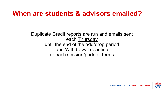### **When are students & advisors emailed?**

Duplicate Credit reports are run and emails sent each Thursday until the end of the add/drop period and Withdrawal deadline for each session/parts of terms.

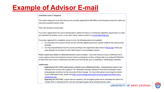### **Example of Advisor E-mail**

### **Immediate Action is Required!**

This email is being sent as an alert that you are currently registered for Fall 2020 in the following course(s) for which you have been awarded transfer credit.

### POLS 1101 American Government

If you have registered for the course intentionally to satisfy GA History or Constitution legislative requirements, to meet pre-requisites for another course, or any other reason, please contact us at transfer@westga.edu.

If you have registered for a duplicate course in error, the following options are available:

- 1. You may stay in the course in which you are currently registered and your transfer credit for the course will be forfeited.
- 2. You may drop/withdraw from the course according to the registration dates listed on The Scoop. Please pay close attention to the dates for each UWG Session or eCore/eMajor Sessions.

Please contact your advisor to determine the best course of action. If you then choose to drop or withdraw from a course, please contact the Enrollment Services Center by visiting the 1st floor of Parker Hall or by calling 678-839-6421 to determine how a drop or withdrawal may affect your financial aid, prior to dropping or withdrawing in BanWeb.

### **Additionally:**

- Beginning Fall 2013 UWG implemented a Limited Course Withdrawal Policy. Undergraduate students may withdraw from courses with a grade of "W" (Withdraw Passing) a maximum of six times during their entire undergraduate enrollment at the University of West Georgia. For more information concerning the Limited Course Withdrawal Policy, please visit https://www.westga.edu/student-services/registrar/limited-coursewithdrawals.php.
- Beginning Fall 2020 UWG, courses that are repeated, only the highest grade will be calculated into either the Transfer GPA or Institutional GPA, and only the highest grade will be awarded earned credit.

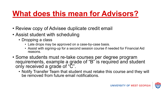### **What does this mean for Advisors?**

- Review copy of Advisee duplicate credit email
- Assist student with scheduling
	- Dropping a class
		- Late drops may be approved on a case-by-case basis.
		- Assist with signing-up for a second session course if needed for Financial Aid reasons.
- Some students must re-take courses per degree program requirements, example a grade of "B" is required and student only received a grade of "C".
	- Notify Transfer Team that student must retake this course and they will be removed from future email notifications.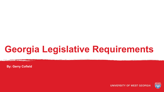## **Georgia Legislative Requirements**

**By: Gerry Cofield**

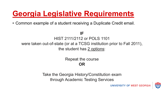### **Georgia Legislative Requirements**

• Common example of a student receiving a Duplicate Credit email.

**IF**

HIST 2111/2112 or POLS 1101 were taken out-of-state (or at a TCSG institution prior to Fall 2011), the student has 2 options:

> Repeat the course **OR**

Take the Georgia History/Constitution exam through Academic Testing Services



UNIVERSITY OF WEST GEORG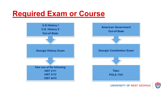### **Required Exam or Course**



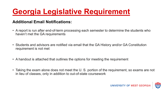## **Georgia Legislative Requirement**

### **Additional Email Notifications:**

- A report is run after end-of-term processing each semester to determine the students who haven't met the GA requirements
- Students and advisors are notified via email that the GA History and/or GA Constitution requirement is not met
- A handout is attached that outlines the options for meeting the requirement
- Taking the exam alone does not meet the U. S. portion of the requirement, so exams are not in lieu of classes, only in addition to out-of-state coursework